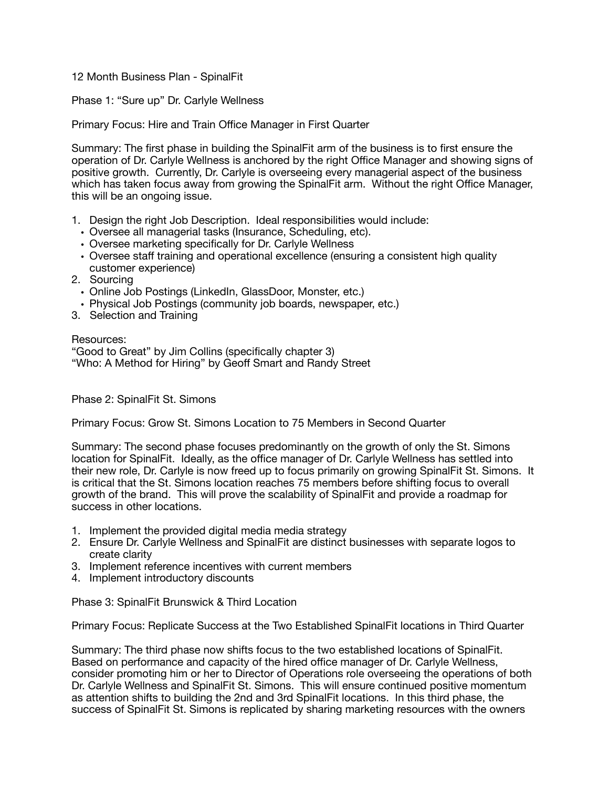12 Month Business Plan - SpinalFit

Phase 1: "Sure up" Dr. Carlyle Wellness

Primary Focus: Hire and Train Office Manager in First Quarter

Summary: The first phase in building the SpinalFit arm of the business is to first ensure the operation of Dr. Carlyle Wellness is anchored by the right Office Manager and showing signs of positive growth. Currently, Dr. Carlyle is overseeing every managerial aspect of the business which has taken focus away from growing the SpinalFit arm. Without the right Office Manager, this will be an ongoing issue.

- 1. Design the right Job Description. Ideal responsibilities would include:
	- Oversee all managerial tasks (Insurance, Scheduling, etc).
	- Oversee marketing specifically for Dr. Carlyle Wellness
	- Oversee staff training and operational excellence (ensuring a consistent high quality customer experience)
- 2. Sourcing
	- Online Job Postings (LinkedIn, GlassDoor, Monster, etc.)
	- Physical Job Postings (community job boards, newspaper, etc.)
- 3. Selection and Training

Resources:

"Good to Great" by Jim Collins (specifically chapter 3) "Who: A Method for Hiring" by Geoff Smart and Randy Street

Phase 2: SpinalFit St. Simons

Primary Focus: Grow St. Simons Location to 75 Members in Second Quarter

Summary: The second phase focuses predominantly on the growth of only the St. Simons location for SpinalFit. Ideally, as the office manager of Dr. Carlyle Wellness has settled into their new role, Dr. Carlyle is now freed up to focus primarily on growing SpinalFit St. Simons. It is critical that the St. Simons location reaches 75 members before shifting focus to overall growth of the brand. This will prove the scalability of SpinalFit and provide a roadmap for success in other locations.

- 1. Implement the provided digital media media strategy
- 2. Ensure Dr. Carlyle Wellness and SpinalFit are distinct businesses with separate logos to create clarity
- 3. Implement reference incentives with current members
- 4. Implement introductory discounts

Phase 3: SpinalFit Brunswick & Third Location

Primary Focus: Replicate Success at the Two Established SpinalFit locations in Third Quarter

Summary: The third phase now shifts focus to the two established locations of SpinalFit. Based on performance and capacity of the hired office manager of Dr. Carlyle Wellness, consider promoting him or her to Director of Operations role overseeing the operations of both Dr. Carlyle Wellness and SpinalFit St. Simons. This will ensure continued positive momentum as attention shifts to building the 2nd and 3rd SpinalFit locations. In this third phase, the success of SpinalFit St. Simons is replicated by sharing marketing resources with the owners